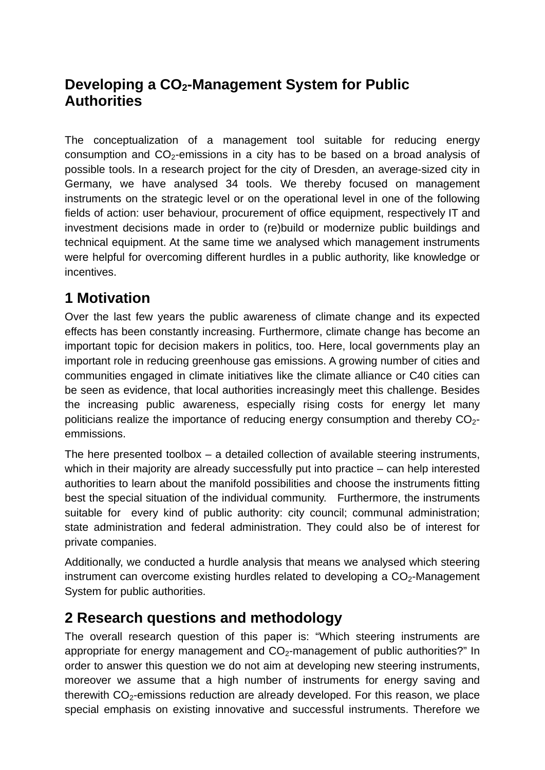# **Developing a CO<sub>2</sub>-Management System for Public Authorities**

The conceptualization of a management tool suitable for reducing energy consumption and  $CO<sub>2</sub>$ -emissions in a city has to be based on a broad analysis of possible tools. In a research project for the city of Dresden, an average-sized city in Germany, we have analysed 34 tools. We thereby focused on management instruments on the strategic level or on the operational level in one of the following fields of action: user behaviour, procurement of office equipment, respectively IT and investment decisions made in order to (re)build or modernize public buildings and technical equipment. At the same time we analysed which management instruments were helpful for overcoming different hurdles in a public authority, like knowledge or incentives.

# **1 Motivation**

Over the last few years the public awareness of climate change and its expected effects has been constantly increasing. Furthermore, climate change has become an important topic for decision makers in politics, too. Here, local governments play an important role in reducing greenhouse gas emissions. A growing number of cities and communities engaged in climate initiatives like the climate alliance or C40 cities can be seen as evidence, that local authorities increasingly meet this challenge. Besides the increasing public awareness, especially rising costs for energy let many politicians realize the importance of reducing energy consumption and thereby  $CO<sub>2</sub>$ emmissions.

The here presented toolbox – a detailed collection of available steering instruments, which in their majority are already successfully put into practice – can help interested authorities to learn about the manifold possibilities and choose the instruments fitting best the special situation of the individual community. Furthermore, the instruments suitable for every kind of public authority: city council; communal administration; state administration and federal administration. They could also be of interest for private companies.

Additionally, we conducted a hurdle analysis that means we analysed which steering instrument can overcome existing hurdles related to developing a  $CO<sub>2</sub>$ -Management System for public authorities.

## **2 Research questions and methodology**

The overall research question of this paper is: "Which steering instruments are appropriate for energy management and  $CO<sub>2</sub>$ -management of public authorities?" In order to answer this question we do not aim at developing new steering instruments, moreover we assume that a high number of instruments for energy saving and therewith  $CO<sub>2</sub>$ -emissions reduction are already developed. For this reason, we place special emphasis on existing innovative and successful instruments. Therefore we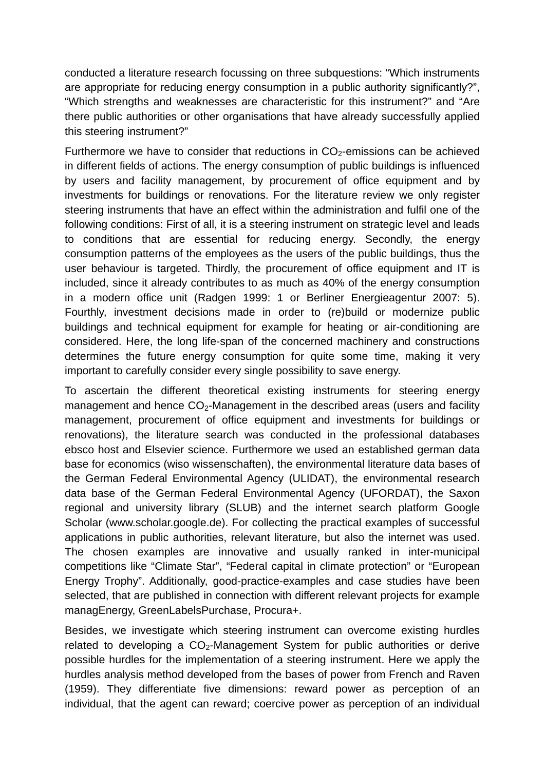conducted a literature research focussing on three subquestions: "Which instruments are appropriate for reducing energy consumption in a public authority significantly?", "Which strengths and weaknesses are characteristic for this instrument?" and "Are there public authorities or other organisations that have already successfully applied this steering instrument?"

Furthermore we have to consider that reductions in  $CO<sub>2</sub>$ -emissions can be achieved in different fields of actions. The energy consumption of public buildings is influenced by users and facility management, by procurement of office equipment and by investments for buildings or renovations. For the literature review we only register steering instruments that have an effect within the administration and fulfil one of the following conditions: First of all, it is a steering instrument on strategic level and leads to conditions that are essential for reducing energy. Secondly, the energy consumption patterns of the employees as the users of the public buildings, thus the user behaviour is targeted. Thirdly, the procurement of office equipment and IT is included, since it already contributes to as much as 40% of the energy consumption in a modern office unit (Radgen 1999: 1 or Berliner Energieagentur 2007: 5). Fourthly, investment decisions made in order to (re)build or modernize public buildings and technical equipment for example for heating or air-conditioning are considered. Here, the long life-span of the concerned machinery and constructions determines the future energy consumption for quite some time, making it very important to carefully consider every single possibility to save energy.

To ascertain the different theoretical existing instruments for steering energy management and hence  $CO<sub>2</sub>$ -Management in the described areas (users and facility management, procurement of office equipment and investments for buildings or renovations), the literature search was conducted in the professional databases ebsco host and Elsevier science. Furthermore we used an established german data base for economics (wiso wissenschaften), the environmental literature data bases of the German Federal Environmental Agency (ULIDAT), the environmental research data base of the German Federal Environmental Agency (UFORDAT), the Saxon regional and university library (SLUB) and the internet search platform Google Scholar (www.scholar.google.de). For collecting the practical examples of successful applications in public authorities, relevant literature, but also the internet was used. The chosen examples are innovative and usually ranked in inter-municipal competitions like "Climate Star", "Federal capital in climate protection" or "European Energy Trophy". Additionally, good-practice-examples and case studies have been selected, that are published in connection with different relevant projects for example managEnergy, GreenLabelsPurchase, Procura+.

Besides, we investigate which steering instrument can overcome existing hurdles related to developing a  $CO<sub>2</sub>$ -Management System for public authorities or derive possible hurdles for the implementation of a steering instrument. Here we apply the hurdles analysis method developed from the bases of power from French and Raven (1959). They differentiate five dimensions: reward power as perception of an individual, that the agent can reward; coercive power as perception of an individual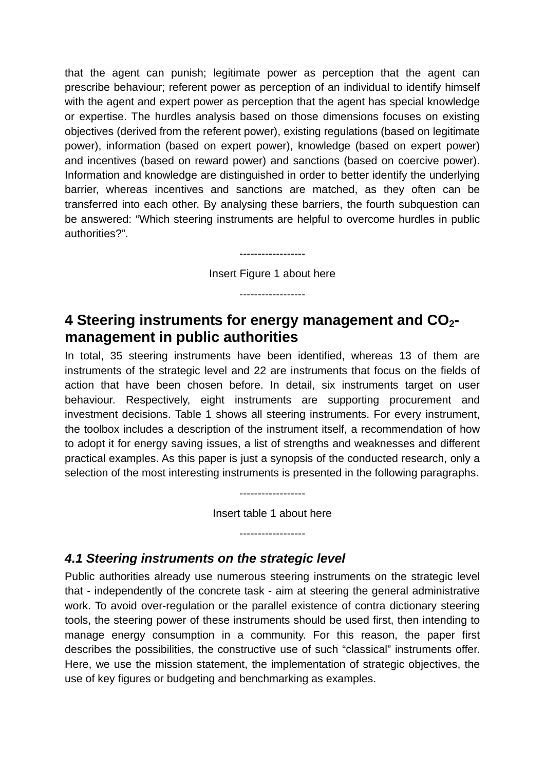that the agent can punish; legitimate power as perception that the agent can prescribe behaviour; referent power as perception of an individual to identify himself with the agent and expert power as perception that the agent has special knowledge or expertise. The hurdles analysis based on those dimensions focuses on existing objectives (derived from the referent power), existing regulations (based on legitimate power), information (based on expert power), knowledge (based on expert power) and incentives (based on reward power) and sanctions (based on coercive power). Information and knowledge are distinguished in order to better identify the underlying barrier, whereas incentives and sanctions are matched, as they often can be transferred into each other. By analysing these barriers, the fourth subquestion can be answered: "Which steering instruments are helpful to overcome hurdles in public authorities?".

Insert Figure 1 about here

------------------

------------------

## **4 Steering instruments for energy management and CO2 management in public authorities**

In total, 35 steering instruments have been identified, whereas 13 of them are instruments of the strategic level and 22 are instruments that focus on the fields of action that have been chosen before. In detail, six instruments target on user behaviour. Respectively, eight instruments are supporting procurement and investment decisions. Table 1 shows all steering instruments. For every instrument, the toolbox includes a description of the instrument itself, a recommendation of how to adopt it for energy saving issues, a list of strengths and weaknesses and different practical examples. As this paper is just a synopsis of the conducted research, only a selection of the most interesting instruments is presented in the following paragraphs.

Insert table 1 about here

------------------

------------------

#### *4.1 Steering instruments on the strategic level*

Public authorities already use numerous steering instruments on the strategic level that - independently of the concrete task - aim at steering the general administrative work. To avoid over-regulation or the parallel existence of contra dictionary steering tools, the steering power of these instruments should be used first, then intending to manage energy consumption in a community. For this reason, the paper first describes the possibilities, the constructive use of such "classical" instruments offer. Here, we use the mission statement, the implementation of strategic objectives, the use of key figures or budgeting and benchmarking as examples.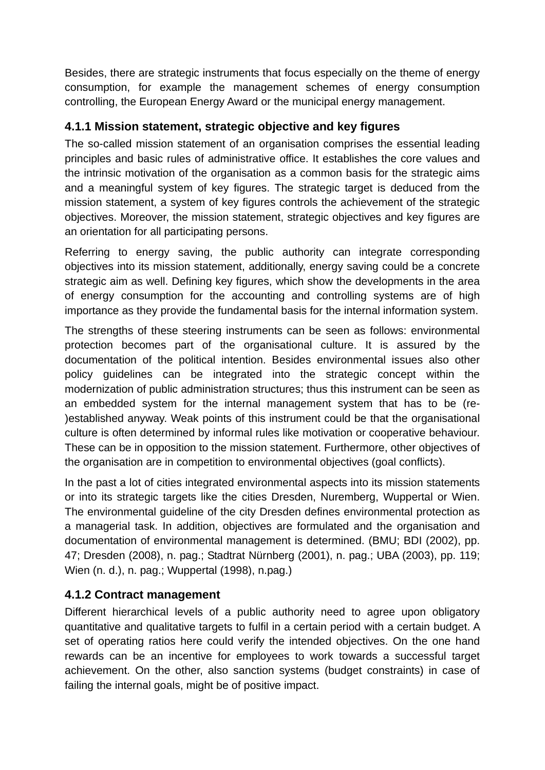Besides, there are strategic instruments that focus especially on the theme of energy consumption, for example the management schemes of energy consumption controlling, the European Energy Award or the municipal energy management.

#### **4.1.1 Mission statement, strategic objective and key figures**

The so-called mission statement of an organisation comprises the essential leading principles and basic rules of administrative office. It establishes the core values and the intrinsic motivation of the organisation as a common basis for the strategic aims and a meaningful system of key figures. The strategic target is deduced from the mission statement, a system of key figures controls the achievement of the strategic objectives. Moreover, the mission statement, strategic objectives and key figures are an orientation for all participating persons.

Referring to energy saving, the public authority can integrate corresponding objectives into its mission statement, additionally, energy saving could be a concrete strategic aim as well. Defining key figures, which show the developments in the area of energy consumption for the accounting and controlling systems are of high importance as they provide the fundamental basis for the internal information system.

The strengths of these steering instruments can be seen as follows: environmental protection becomes part of the organisational culture. It is assured by the documentation of the political intention. Besides environmental issues also other policy guidelines can be integrated into the strategic concept within the modernization of public administration structures; thus this instrument can be seen as an embedded system for the internal management system that has to be (re- )established anyway. Weak points of this instrument could be that the organisational culture is often determined by informal rules like motivation or cooperative behaviour. These can be in opposition to the mission statement. Furthermore, other objectives of the organisation are in competition to environmental objectives (goal conflicts).

In the past a lot of cities integrated environmental aspects into its mission statements or into its strategic targets like the cities Dresden, Nuremberg, Wuppertal or Wien. The environmental guideline of the city Dresden defines environmental protection as a managerial task. In addition, objectives are formulated and the organisation and documentation of environmental management is determined. (BMU; BDI (2002), pp. 47; Dresden (2008), n. pag.; Stadtrat Nürnberg (2001), n. pag.; UBA (2003), pp. 119; Wien (n. d.), n. pag.; Wuppertal (1998), n.pag.)

#### **4.1.2 Contract management**

Different hierarchical levels of a public authority need to agree upon obligatory quantitative and qualitative targets to fulfil in a certain period with a certain budget. A set of operating ratios here could verify the intended objectives. On the one hand rewards can be an incentive for employees to work towards a successful target achievement. On the other, also sanction systems (budget constraints) in case of failing the internal goals, might be of positive impact.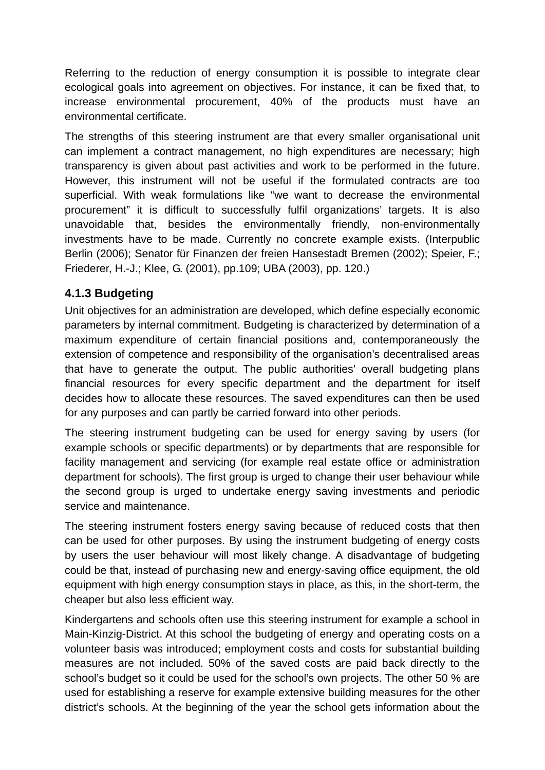Referring to the reduction of energy consumption it is possible to integrate clear ecological goals into agreement on objectives. For instance, it can be fixed that, to increase environmental procurement, 40% of the products must have an environmental certificate.

The strengths of this steering instrument are that every smaller organisational unit can implement a contract management, no high expenditures are necessary; high transparency is given about past activities and work to be performed in the future. However, this instrument will not be useful if the formulated contracts are too superficial. With weak formulations like "we want to decrease the environmental procurement" it is difficult to successfully fulfil organizations' targets. It is also unavoidable that, besides the environmentally friendly, non-environmentally investments have to be made. Currently no concrete example exists. (Interpublic Berlin (2006); Senator für Finanzen der freien Hansestadt Bremen (2002); Speier, F.; Friederer, H.-J.; Klee, G. (2001), pp.109; UBA (2003), pp. 120.)

#### **4.1.3 Budgeting**

Unit objectives for an administration are developed, which define especially economic parameters by internal commitment. Budgeting is characterized by determination of a maximum expenditure of certain financial positions and, contemporaneously the extension of competence and responsibility of the organisation's decentralised areas that have to generate the output. The public authorities' overall budgeting plans financial resources for every specific department and the department for itself decides how to allocate these resources. The saved expenditures can then be used for any purposes and can partly be carried forward into other periods.

The steering instrument budgeting can be used for energy saving by users (for example schools or specific departments) or by departments that are responsible for facility management and servicing (for example real estate office or administration department for schools). The first group is urged to change their user behaviour while the second group is urged to undertake energy saving investments and periodic service and maintenance.

The steering instrument fosters energy saving because of reduced costs that then can be used for other purposes. By using the instrument budgeting of energy costs by users the user behaviour will most likely change. A disadvantage of budgeting could be that, instead of purchasing new and energy-saving office equipment, the old equipment with high energy consumption stays in place, as this, in the short-term, the cheaper but also less efficient way.

Kindergartens and schools often use this steering instrument for example a school in Main-Kinzig-District. At this school the budgeting of energy and operating costs on a volunteer basis was introduced; employment costs and costs for substantial building measures are not included. 50% of the saved costs are paid back directly to the school's budget so it could be used for the school's own projects. The other 50 % are used for establishing a reserve for example extensive building measures for the other district's schools. At the beginning of the year the school gets information about the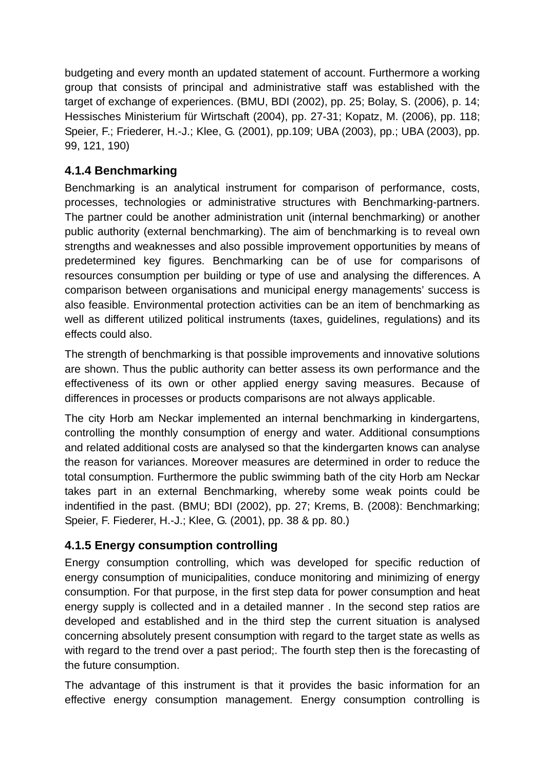budgeting and every month an updated statement of account. Furthermore a working group that consists of principal and administrative staff was established with the target of exchange of experiences. (BMU, BDI (2002), pp. 25; Bolay, S. (2006), p. 14; Hessisches Ministerium für Wirtschaft (2004), pp. 27-31; Kopatz, M. (2006), pp. 118; Speier, F.; Friederer, H.-J.; Klee, G. (2001), pp.109; UBA (2003), pp.; UBA (2003), pp. 99, 121, 190)

### **4.1.4 Benchmarking**

Benchmarking is an analytical instrument for comparison of performance, costs, processes, technologies or administrative structures with Benchmarking-partners. The partner could be another administration unit (internal benchmarking) or another public authority (external benchmarking). The aim of benchmarking is to reveal own strengths and weaknesses and also possible improvement opportunities by means of predetermined key figures. Benchmarking can be of use for comparisons of resources consumption per building or type of use and analysing the differences. A comparison between organisations and municipal energy managements' success is also feasible. Environmental protection activities can be an item of benchmarking as well as different utilized political instruments (taxes, guidelines, regulations) and its effects could also.

The strength of benchmarking is that possible improvements and innovative solutions are shown. Thus the public authority can better assess its own performance and the effectiveness of its own or other applied energy saving measures. Because of differences in processes or products comparisons are not always applicable.

The city Horb am Neckar implemented an internal benchmarking in kindergartens, controlling the monthly consumption of energy and water. Additional consumptions and related additional costs are analysed so that the kindergarten knows can analyse the reason for variances. Moreover measures are determined in order to reduce the total consumption. Furthermore the public swimming bath of the city Horb am Neckar takes part in an external Benchmarking, whereby some weak points could be indentified in the past. (BMU; BDI (2002), pp. 27; Krems, B. (2008): Benchmarking; Speier, F. Fiederer, H.-J.; Klee, G. (2001), pp. 38 & pp. 80.)

### **4.1.5 Energy consumption controlling**

Energy consumption controlling, which was developed for specific reduction of energy consumption of municipalities, conduce monitoring and minimizing of energy consumption. For that purpose, in the first step data for power consumption and heat energy supply is collected and in a detailed manner . In the second step ratios are developed and established and in the third step the current situation is analysed concerning absolutely present consumption with regard to the target state as wells as with regard to the trend over a past period;. The fourth step then is the forecasting of the future consumption.

The advantage of this instrument is that it provides the basic information for an effective energy consumption management. Energy consumption controlling is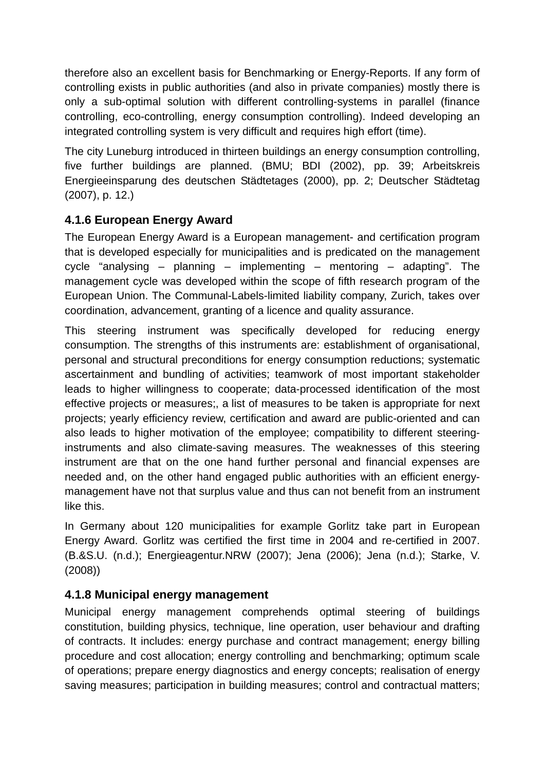therefore also an excellent basis for Benchmarking or Energy-Reports. If any form of controlling exists in public authorities (and also in private companies) mostly there is only a sub-optimal solution with different controlling-systems in parallel (finance controlling, eco-controlling, energy consumption controlling). Indeed developing an integrated controlling system is very difficult and requires high effort (time).

The city Luneburg introduced in thirteen buildings an energy consumption controlling, five further buildings are planned. (BMU; BDI (2002), pp. 39; Arbeitskreis Energieeinsparung des deutschen Städtetages (2000), pp. 2; Deutscher Städtetag (2007), p. 12.)

## **4.1.6 European Energy Award**

The European Energy Award is a European management- and certification program that is developed especially for municipalities and is predicated on the management cycle "analysing – planning – implementing – mentoring – adapting". The management cycle was developed within the scope of fifth research program of the European Union. The Communal-Labels-limited liability company, Zurich, takes over coordination, advancement, granting of a licence and quality assurance.

This steering instrument was specifically developed for reducing energy consumption. The strengths of this instruments are: establishment of organisational, personal and structural preconditions for energy consumption reductions; systematic ascertainment and bundling of activities; teamwork of most important stakeholder leads to higher willingness to cooperate; data-processed identification of the most effective projects or measures;, a list of measures to be taken is appropriate for next projects; yearly efficiency review, certification and award are public-oriented and can also leads to higher motivation of the employee; compatibility to different steeringinstruments and also climate-saving measures. The weaknesses of this steering instrument are that on the one hand further personal and financial expenses are needed and, on the other hand engaged public authorities with an efficient energymanagement have not that surplus value and thus can not benefit from an instrument like this.

In Germany about 120 municipalities for example Gorlitz take part in European Energy Award. Gorlitz was certified the first time in 2004 and re-certified in 2007. (B.&S.U. (n.d.); Energieagentur.NRW (2007); Jena (2006); Jena (n.d.); Starke, V. (2008))

### **4.1.8 Municipal energy management**

Municipal energy management comprehends optimal steering of buildings constitution, building physics, technique, line operation, user behaviour and drafting of contracts. It includes: energy purchase and contract management; energy billing procedure and cost allocation; energy controlling and benchmarking; optimum scale of operations; prepare energy diagnostics and energy concepts; realisation of energy saving measures; participation in building measures; control and contractual matters;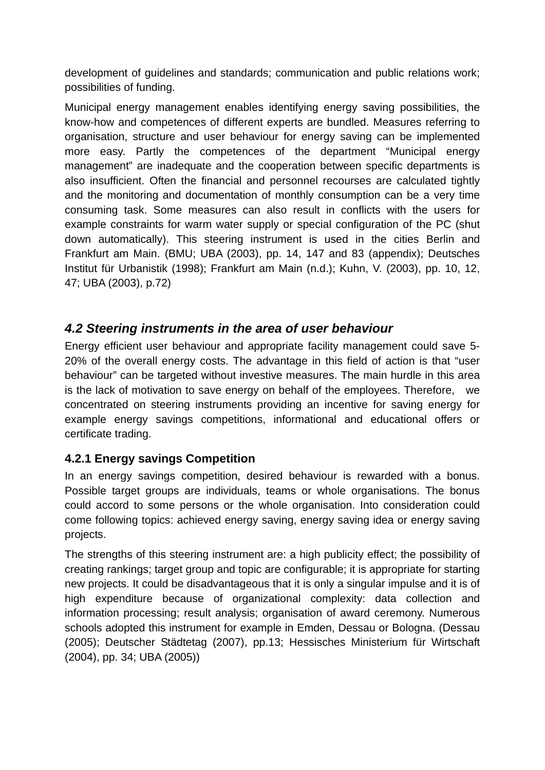development of guidelines and standards; communication and public relations work; possibilities of funding.

Municipal energy management enables identifying energy saving possibilities, the know-how and competences of different experts are bundled. Measures referring to organisation, structure and user behaviour for energy saving can be implemented more easy. Partly the competences of the department "Municipal energy management" are inadequate and the cooperation between specific departments is also insufficient. Often the financial and personnel recourses are calculated tightly and the monitoring and documentation of monthly consumption can be a very time consuming task. Some measures can also result in conflicts with the users for example constraints for warm water supply or special configuration of the PC (shut down automatically). This steering instrument is used in the cities Berlin and Frankfurt am Main. (BMU; UBA (2003), pp. 14, 147 and 83 (appendix); Deutsches Institut für Urbanistik (1998); Frankfurt am Main (n.d.); Kuhn, V. (2003), pp. 10, 12, 47; UBA (2003), p.72)

### *4.2 Steering instruments in the area of user behaviour*

Energy efficient user behaviour and appropriate facility management could save 5- 20% of the overall energy costs. The advantage in this field of action is that "user behaviour" can be targeted without investive measures. The main hurdle in this area is the lack of motivation to save energy on behalf of the employees. Therefore, we concentrated on steering instruments providing an incentive for saving energy for example energy savings competitions, informational and educational offers or certificate trading.

#### **4.2.1 Energy savings Competition**

In an energy savings competition, desired behaviour is rewarded with a bonus. Possible target groups are individuals, teams or whole organisations. The bonus could accord to some persons or the whole organisation. Into consideration could come following topics: achieved energy saving, energy saving idea or energy saving projects.

The strengths of this steering instrument are: a high publicity effect; the possibility of creating rankings; target group and topic are configurable; it is appropriate for starting new projects. It could be disadvantageous that it is only a singular impulse and it is of high expenditure because of organizational complexity: data collection and information processing; result analysis; organisation of award ceremony. Numerous schools adopted this instrument for example in Emden, Dessau or Bologna. (Dessau (2005); Deutscher Städtetag (2007), pp.13; Hessisches Ministerium für Wirtschaft (2004), pp. 34; UBA (2005))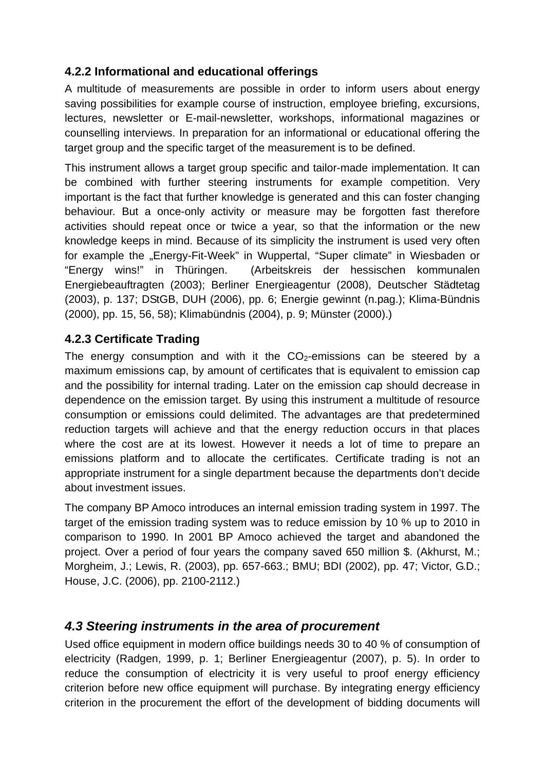### **4.2.2 Informational and educational offerings**

A multitude of measurements are possible in order to inform users about energy saving possibilities for example course of instruction, employee briefing, excursions, lectures, newsletter or E-mail-newsletter, workshops, informational magazines or counselling interviews. In preparation for an informational or educational offering the target group and the specific target of the measurement is to be defined.

This instrument allows a target group specific and tailor-made implementation. It can be combined with further steering instruments for example competition. Very important is the fact that further knowledge is generated and this can foster changing behaviour. But a once-only activity or measure may be forgotten fast therefore activities should repeat once or twice a year, so that the information or the new knowledge keeps in mind. Because of its simplicity the instrument is used very often for example the "Energy-Fit-Week" in Wuppertal, "Super climate" in Wiesbaden or "Energy wins!" in Thüringen. (Arbeitskreis der hessischen kommunalen Energiebeauftragten (2003); Berliner Energieagentur (2008), Deutscher Städtetag (2003), p. 137; DStGB, DUH (2006), pp. 6; Energie gewinnt (n.pag.); Klima-Bündnis (2000), pp. 15, 56, 58); Klimabündnis (2004), p. 9; Münster (2000).)

### **4.2.3 Certificate Trading**

The energy consumption and with it the  $CO<sub>2</sub>$ -emissions can be steered by a maximum emissions cap, by amount of certificates that is equivalent to emission cap and the possibility for internal trading. Later on the emission cap should decrease in dependence on the emission target. By using this instrument a multitude of resource consumption or emissions could delimited. The advantages are that predetermined reduction targets will achieve and that the energy reduction occurs in that places where the cost are at its lowest. However it needs a lot of time to prepare an emissions platform and to allocate the certificates. Certificate trading is not an appropriate instrument for a single department because the departments don't decide about investment issues.

The company BP Amoco introduces an internal emission trading system in 1997. The target of the emission trading system was to reduce emission by 10 % up to 2010 in comparison to 1990. In 2001 BP Amoco achieved the target and abandoned the project. Over a period of four years the company saved 650 million \$. (Akhurst, M.; Morgheim, J.; Lewis, R. (2003), pp. 657-663.; BMU; BDI (2002), pp. 47; Victor, G.D.; House, J.C. (2006), pp. 2100-2112.)

### *4.3 Steering instruments in the area of procurement*

Used office equipment in modern office buildings needs 30 to 40 % of consumption of electricity (Radgen, 1999, p. 1; Berliner Energieagentur (2007), p. 5). In order to reduce the consumption of electricity it is very useful to proof energy efficiency criterion before new office equipment will purchase. By integrating energy efficiency criterion in the procurement the effort of the development of bidding documents will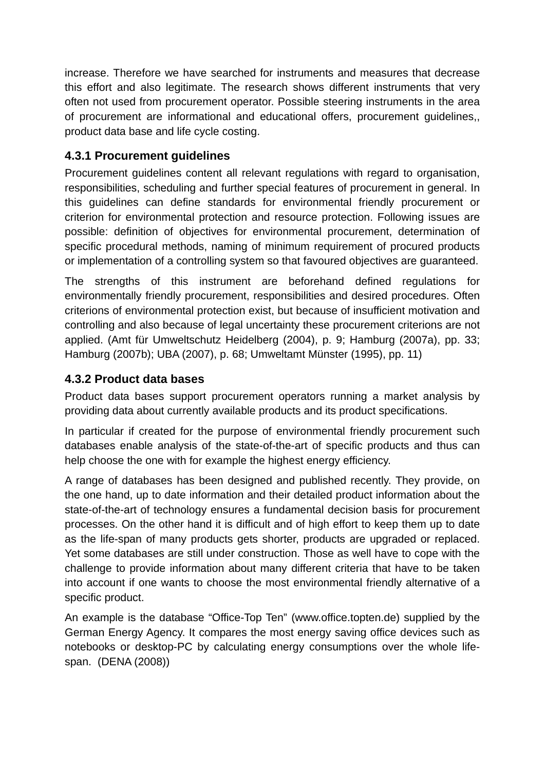increase. Therefore we have searched for instruments and measures that decrease this effort and also legitimate. The research shows different instruments that very often not used from procurement operator. Possible steering instruments in the area of procurement are informational and educational offers, procurement guidelines,, product data base and life cycle costing.

#### **4.3.1 Procurement guidelines**

Procurement guidelines content all relevant regulations with regard to organisation, responsibilities, scheduling and further special features of procurement in general. In this guidelines can define standards for environmental friendly procurement or criterion for environmental protection and resource protection. Following issues are possible: definition of objectives for environmental procurement, determination of specific procedural methods, naming of minimum requirement of procured products or implementation of a controlling system so that favoured objectives are guaranteed.

The strengths of this instrument are beforehand defined regulations for environmentally friendly procurement, responsibilities and desired procedures. Often criterions of environmental protection exist, but because of insufficient motivation and controlling and also because of legal uncertainty these procurement criterions are not applied. (Amt für Umweltschutz Heidelberg (2004), p. 9; Hamburg (2007a), pp. 33; Hamburg (2007b); UBA (2007), p. 68; Umweltamt Münster (1995), pp. 11)

#### **4.3.2 Product data bases**

Product data bases support procurement operators running a market analysis by providing data about currently available products and its product specifications.

In particular if created for the purpose of environmental friendly procurement such databases enable analysis of the state-of-the-art of specific products and thus can help choose the one with for example the highest energy efficiency.

A range of databases has been designed and published recently. They provide, on the one hand, up to date information and their detailed product information about the state-of-the-art of technology ensures a fundamental decision basis for procurement processes. On the other hand it is difficult and of high effort to keep them up to date as the life-span of many products gets shorter, products are upgraded or replaced. Yet some databases are still under construction. Those as well have to cope with the challenge to provide information about many different criteria that have to be taken into account if one wants to choose the most environmental friendly alternative of a specific product.

An example is the database "Office-Top Ten" (www.office.topten.de) supplied by the German Energy Agency. It compares the most energy saving office devices such as notebooks or desktop-PC by calculating energy consumptions over the whole lifespan. (DENA (2008))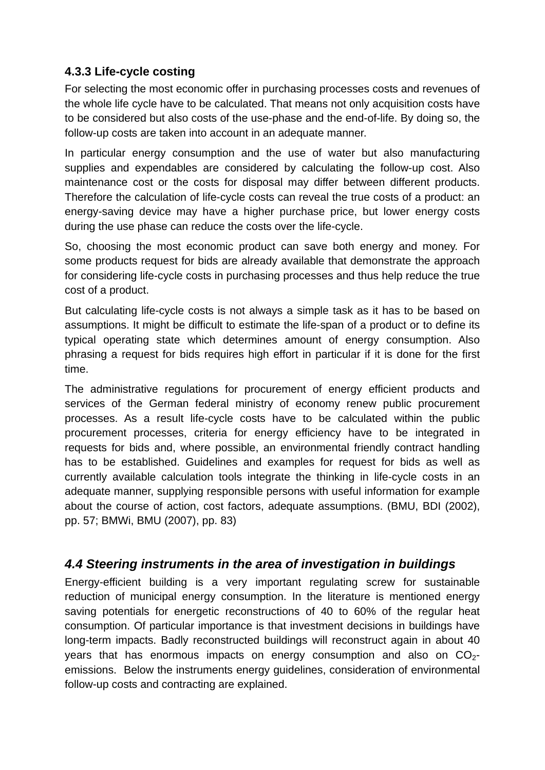#### **4.3.3 Life-cycle costing**

For selecting the most economic offer in purchasing processes costs and revenues of the whole life cycle have to be calculated. That means not only acquisition costs have to be considered but also costs of the use-phase and the end-of-life. By doing so, the follow-up costs are taken into account in an adequate manner.

In particular energy consumption and the use of water but also manufacturing supplies and expendables are considered by calculating the follow-up cost. Also maintenance cost or the costs for disposal may differ between different products. Therefore the calculation of life-cycle costs can reveal the true costs of a product: an energy-saving device may have a higher purchase price, but lower energy costs during the use phase can reduce the costs over the life-cycle.

So, choosing the most economic product can save both energy and money. For some products request for bids are already available that demonstrate the approach for considering life-cycle costs in purchasing processes and thus help reduce the true cost of a product.

But calculating life-cycle costs is not always a simple task as it has to be based on assumptions. It might be difficult to estimate the life-span of a product or to define its typical operating state which determines amount of energy consumption. Also phrasing a request for bids requires high effort in particular if it is done for the first time.

The administrative regulations for procurement of energy efficient products and services of the German federal ministry of economy renew public procurement processes. As a result life-cycle costs have to be calculated within the public procurement processes, criteria for energy efficiency have to be integrated in requests for bids and, where possible, an environmental friendly contract handling has to be established. Guidelines and examples for request for bids as well as currently available calculation tools integrate the thinking in life-cycle costs in an adequate manner, supplying responsible persons with useful information for example about the course of action, cost factors, adequate assumptions. (BMU, BDI (2002), pp. 57; BMWi, BMU (2007), pp. 83)

### *4.4 Steering instruments in the area of investigation in buildings*

Energy-efficient building is a very important regulating screw for sustainable reduction of municipal energy consumption. In the literature is mentioned energy saving potentials for energetic reconstructions of 40 to 60% of the regular heat consumption. Of particular importance is that investment decisions in buildings have long-term impacts. Badly reconstructed buildings will reconstruct again in about 40 years that has enormous impacts on energy consumption and also on  $CO<sub>2</sub>$ emissions. Below the instruments energy guidelines, consideration of environmental follow-up costs and contracting are explained.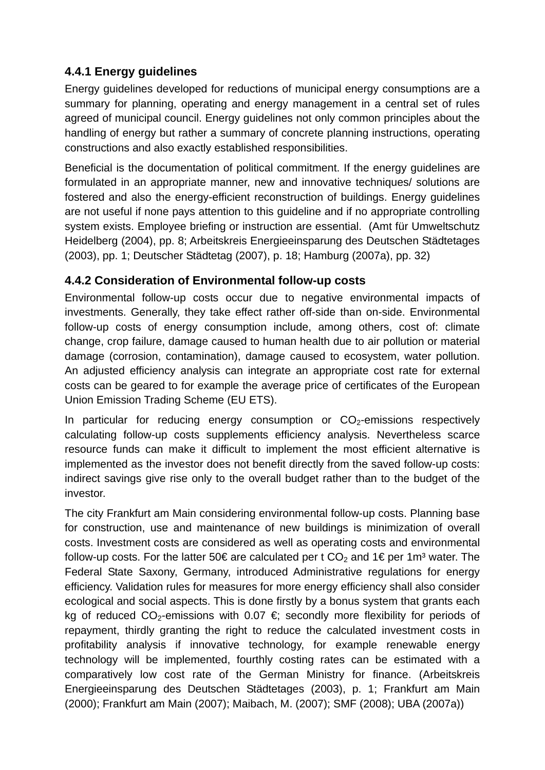### **4.4.1 Energy guidelines**

Energy guidelines developed for reductions of municipal energy consumptions are a summary for planning, operating and energy management in a central set of rules agreed of municipal council. Energy guidelines not only common principles about the handling of energy but rather a summary of concrete planning instructions, operating constructions and also exactly established responsibilities.

Beneficial is the documentation of political commitment. If the energy guidelines are formulated in an appropriate manner, new and innovative techniques/ solutions are fostered and also the energy-efficient reconstruction of buildings. Energy guidelines are not useful if none pays attention to this guideline and if no appropriate controlling system exists. Employee briefing or instruction are essential. (Amt für Umweltschutz Heidelberg (2004), pp. 8; Arbeitskreis Energieeinsparung des Deutschen Städtetages (2003), pp. 1; Deutscher Städtetag (2007), p. 18; Hamburg (2007a), pp. 32)

#### **4.4.2 Consideration of Environmental follow-up costs**

Environmental follow-up costs occur due to negative environmental impacts of investments. Generally, they take effect rather off-side than on-side. Environmental follow-up costs of energy consumption include, among others, cost of: climate change, crop failure, damage caused to human health due to air pollution or material damage (corrosion, contamination), damage caused to ecosystem, water pollution. An adjusted efficiency analysis can integrate an appropriate cost rate for external costs can be geared to for example the average price of certificates of the European Union Emission Trading Scheme (EU ETS).

In particular for reducing energy consumption or  $CO<sub>2</sub>$ -emissions respectively calculating follow-up costs supplements efficiency analysis. Nevertheless scarce resource funds can make it difficult to implement the most efficient alternative is implemented as the investor does not benefit directly from the saved follow-up costs: indirect savings give rise only to the overall budget rather than to the budget of the investor.

The city Frankfurt am Main considering environmental follow-up costs. Planning base for construction, use and maintenance of new buildings is minimization of overall costs. Investment costs are considered as well as operating costs and environmental follow-up costs. For the latter 50€ are calculated per t  $CO_2$  and 1€ per 1m<sup>3</sup> water. The Federal State Saxony, Germany, introduced Administrative regulations for energy efficiency. Validation rules for measures for more energy efficiency shall also consider ecological and social aspects. This is done firstly by a bonus system that grants each kg of reduced CO<sub>2</sub>-emissions with 0.07  $\epsilon$ ; secondly more flexibility for periods of repayment, thirdly granting the right to reduce the calculated investment costs in profitability analysis if innovative technology, for example renewable energy technology will be implemented, fourthly costing rates can be estimated with a comparatively low cost rate of the German Ministry for finance. (Arbeitskreis Energieeinsparung des Deutschen Städtetages (2003), p. 1; Frankfurt am Main (2000); Frankfurt am Main (2007); Maibach, M. (2007); SMF (2008); UBA (2007a))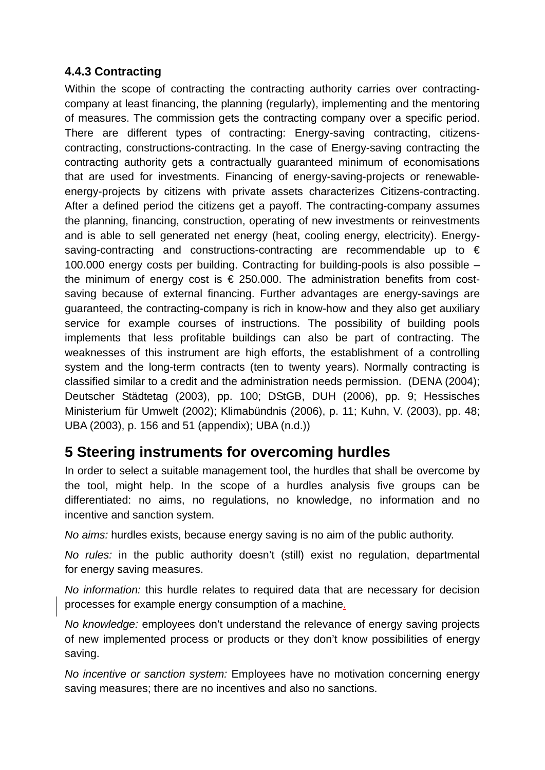#### **4.4.3 Contracting**

Within the scope of contracting the contracting authority carries over contractingcompany at least financing, the planning (regularly), implementing and the mentoring of measures. The commission gets the contracting company over a specific period. There are different types of contracting: Energy-saving contracting, citizenscontracting, constructions-contracting. In the case of Energy-saving contracting the contracting authority gets a contractually guaranteed minimum of economisations that are used for investments. Financing of energy-saving-projects or renewableenergy-projects by citizens with private assets characterizes Citizens-contracting. After a defined period the citizens get a payoff. The contracting-company assumes the planning, financing, construction, operating of new investments or reinvestments and is able to sell generated net energy (heat, cooling energy, electricity). Energysaving-contracting and constructions-contracting are recommendable up to  $\epsilon$ 100.000 energy costs per building. Contracting for building-pools is also possible – the minimum of energy cost is  $\epsilon$  250.000. The administration benefits from costsaving because of external financing. Further advantages are energy-savings are guaranteed, the contracting-company is rich in know-how and they also get auxiliary service for example courses of instructions. The possibility of building pools implements that less profitable buildings can also be part of contracting. The weaknesses of this instrument are high efforts, the establishment of a controlling system and the long-term contracts (ten to twenty years). Normally contracting is classified similar to a credit and the administration needs permission. (DENA (2004); Deutscher Städtetag (2003), pp. 100; DStGB, DUH (2006), pp. 9; Hessisches Ministerium für Umwelt (2002); Klimabündnis (2006), p. 11; Kuhn, V. (2003), pp. 48; UBA (2003), p. 156 and 51 (appendix); UBA (n.d.))

## **5 Steering instruments for overcoming hurdles**

In order to select a suitable management tool, the hurdles that shall be overcome by the tool, might help. In the scope of a hurdles analysis five groups can be differentiated: no aims, no regulations, no knowledge, no information and no incentive and sanction system.

*No aims:* hurdles exists, because energy saving is no aim of the public authority.

*No rules:* in the public authority doesn't (still) exist no regulation, departmental for energy saving measures.

*No information:* this hurdle relates to required data that are necessary for decision processes for example energy consumption of a machine.

*No knowledge:* employees don't understand the relevance of energy saving projects of new implemented process or products or they don't know possibilities of energy saving.

*No incentive or sanction system:* Employees have no motivation concerning energy saving measures; there are no incentives and also no sanctions.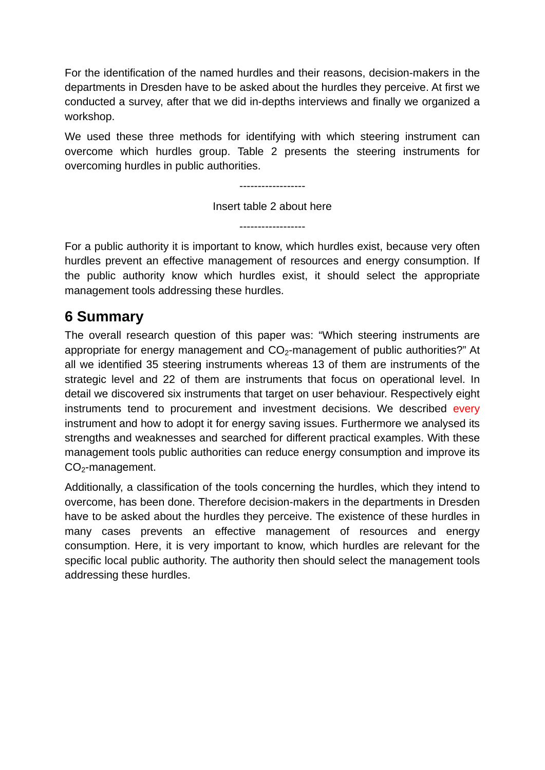For the identification of the named hurdles and their reasons, decision-makers in the departments in Dresden have to be asked about the hurdles they perceive. At first we conducted a survey, after that we did in-depths interviews and finally we organized a workshop.

We used these three methods for identifying with which steering instrument can overcome which hurdles group. Table 2 presents the steering instruments for overcoming hurdles in public authorities.

------------------

Insert table 2 about here

------------------

For a public authority it is important to know, which hurdles exist, because very often hurdles prevent an effective management of resources and energy consumption. If the public authority know which hurdles exist, it should select the appropriate management tools addressing these hurdles.

# **6 Summary**

The overall research question of this paper was: "Which steering instruments are appropriate for energy management and  $CO<sub>2</sub>$ -management of public authorities?" At all we identified 35 steering instruments whereas 13 of them are instruments of the strategic level and 22 of them are instruments that focus on operational level. In detail we discovered six instruments that target on user behaviour. Respectively eight instruments tend to procurement and investment decisions. We described every instrument and how to adopt it for energy saving issues. Furthermore we analysed its strengths and weaknesses and searched for different practical examples. With these management tools public authorities can reduce energy consumption and improve its CO<sub>2</sub>-management.

Additionally, a classification of the tools concerning the hurdles, which they intend to overcome, has been done. Therefore decision-makers in the departments in Dresden have to be asked about the hurdles they perceive. The existence of these hurdles in many cases prevents an effective management of resources and energy consumption. Here, it is very important to know, which hurdles are relevant for the specific local public authority. The authority then should select the management tools addressing these hurdles.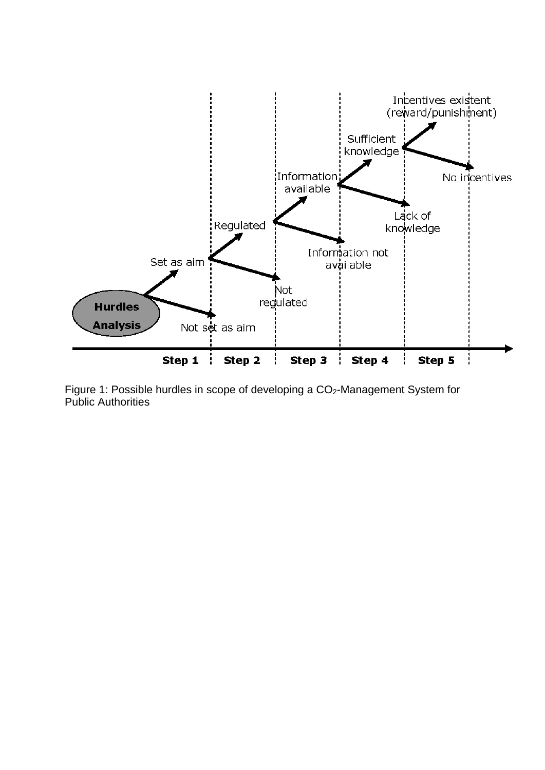

Figure 1: Possible hurdles in scope of developing a CO<sub>2</sub>-Management System for Public Authorities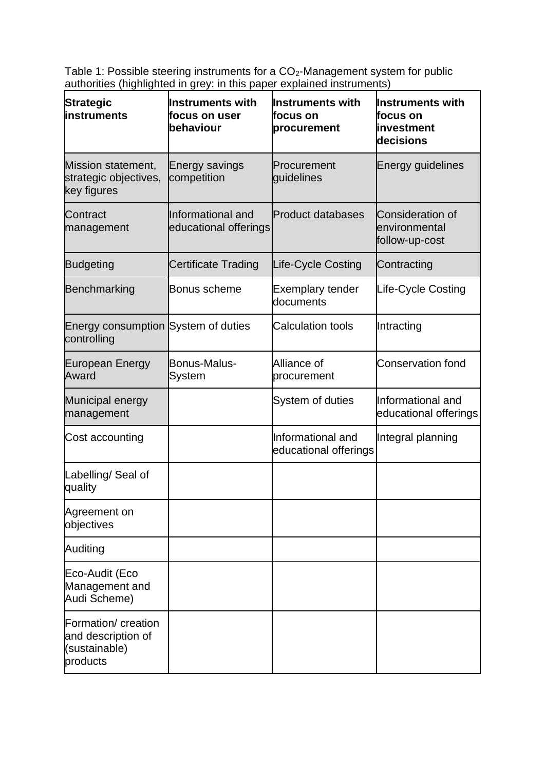Table 1: Possible steering instruments for a  $CO<sub>2</sub>$ -Management system for public authorities (highlighted in grey: in this paper explained instruments)

| <b>Strategic</b><br>linstruments                                       | <b>Instruments with</b><br>focus on user<br>behaviour | <b>Instruments with</b><br>focus on<br>procurement | <b>Instruments with</b><br>focus on<br>linvestment<br>decisions |
|------------------------------------------------------------------------|-------------------------------------------------------|----------------------------------------------------|-----------------------------------------------------------------|
| Mission statement,<br>strategic objectives,<br>key figures             | Energy savings<br>competition                         | Procurement<br>guidelines                          | <b>Energy guidelines</b>                                        |
| Contract<br>management                                                 | Informational and<br>educational offerings            | <b>Product databases</b>                           | <b>Consideration of</b><br>environmental<br>follow-up-cost      |
| <b>Budgeting</b>                                                       | <b>Certificate Trading</b>                            | Life-Cycle Costing                                 | Contracting                                                     |
| Benchmarking                                                           | <b>Bonus scheme</b>                                   | <b>Exemplary tender</b><br>documents               | Life-Cycle Costing                                              |
| Energy consumption System of duties<br>controlling                     |                                                       | <b>Calculation tools</b>                           | Intracting                                                      |
| <b>European Energy</b><br>Award                                        | Bonus-Malus-<br>System                                | Alliance of<br>procurement                         | <b>Conservation fond</b>                                        |
| Municipal energy<br>management                                         |                                                       | System of duties                                   | Informational and<br>educational offerings                      |
| Cost accounting                                                        |                                                       | Informational and<br>educational offerings         | Integral planning                                               |
| Labelling/Seal of<br>quality                                           |                                                       |                                                    |                                                                 |
| Agreement on<br>objectives                                             |                                                       |                                                    |                                                                 |
| Auditing                                                               |                                                       |                                                    |                                                                 |
| Eco-Audit (Eco<br>Management and<br>Audi Scheme)                       |                                                       |                                                    |                                                                 |
| Formation/ creation<br>and description of<br>(sustainable)<br>products |                                                       |                                                    |                                                                 |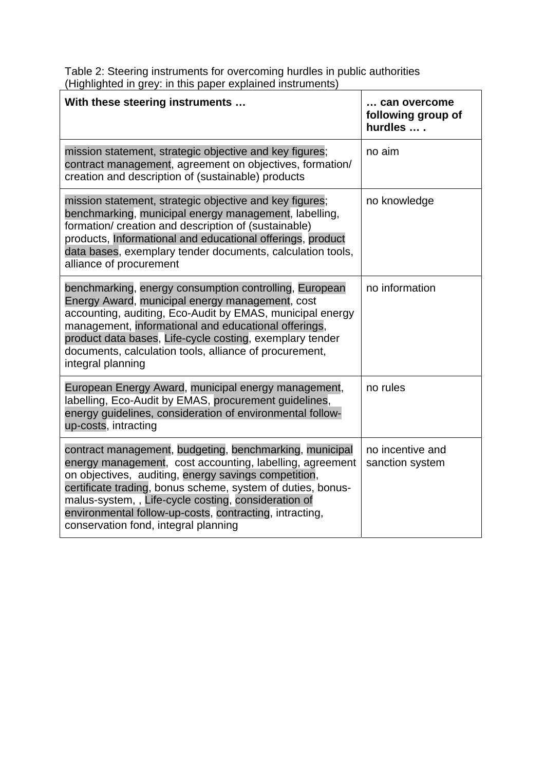Table 2: Steering instruments for overcoming hurdles in public authorities (Highlighted in grey: in this paper explained instruments)

| With these steering instruments                                                                                                                                                                                                                                                                                                                                                                      | can overcome<br>following group of<br>hurdles  . |
|------------------------------------------------------------------------------------------------------------------------------------------------------------------------------------------------------------------------------------------------------------------------------------------------------------------------------------------------------------------------------------------------------|--------------------------------------------------|
| mission statement, strategic objective and key figures;<br>contract management, agreement on objectives, formation/<br>creation and description of (sustainable) products                                                                                                                                                                                                                            | no aim                                           |
| mission statement, strategic objective and key figures;<br>benchmarking, municipal energy management, labelling,<br>formation/ creation and description of (sustainable)<br>products, Informational and educational offerings, product<br>data bases, exemplary tender documents, calculation tools,<br>alliance of procurement                                                                      | no knowledge                                     |
| benchmarking, energy consumption controlling, European<br>Energy Award, municipal energy management, cost<br>accounting, auditing, Eco-Audit by EMAS, municipal energy<br>management, informational and educational offerings,<br>product data bases, Life-cycle costing, exemplary tender<br>documents, calculation tools, alliance of procurement,<br>integral planning                            | no information                                   |
| European Energy Award, municipal energy management,<br>labelling, Eco-Audit by EMAS, procurement guidelines,<br>energy guidelines, consideration of environmental follow-<br>up-costs, intracting                                                                                                                                                                                                    | no rules                                         |
| contract management, budgeting, benchmarking, municipal<br>energy management, cost accounting, labelling, agreement<br>on objectives, auditing, energy savings competition,<br>certificate trading, bonus scheme, system of duties, bonus-<br>malus-system,, Life-cycle costing, consideration of<br>environmental follow-up-costs, contracting, intracting,<br>conservation fond, integral planning | no incentive and<br>sanction system              |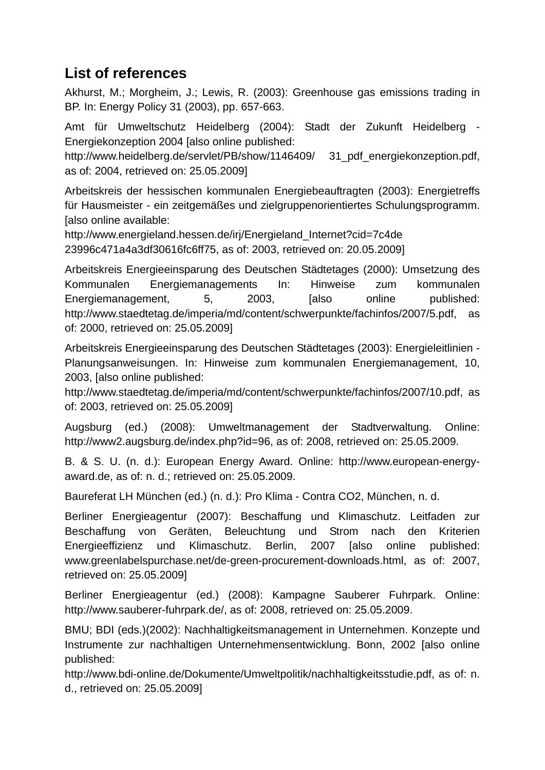# **List of references**

Akhurst, M.; Morgheim, J.; Lewis, R. (2003): Greenhouse gas emissions trading in BP. In: Energy Policy 31 (2003), pp. 657-663.

Amt für Umweltschutz Heidelberg (2004): Stadt der Zukunft Heidelberg - Energiekonzeption 2004 [also online published:

http://www.heidelberg.de/servlet/PB/show/1146409/ 31 pdf energiekonzeption.pdf. as of: 2004, retrieved on: 25.05.2009]

Arbeitskreis der hessischen kommunalen Energiebeauftragten (2003): Energietreffs für Hausmeister - ein zeitgemäßes und zielgruppenorientiertes Schulungsprogramm. [also online available:

http://www.energieland.hessen.de/irj/Energieland\_Internet?cid=7c4de 23996c471a4a3df30616fc6ff75, as of: 2003, retrieved on: 20.05.2009]

Arbeitskreis Energieeinsparung des Deutschen Städtetages (2000): Umsetzung des Kommunalen Energiemanagements In: Hinweise zum kommunalen Energiemanagement, 5, 2003, [also online published: http://www.staedtetag.de/imperia/md/content/schwerpunkte/fachinfos/2007/5.pdf, as of: 2000, retrieved on: 25.05.2009]

Arbeitskreis Energieeinsparung des Deutschen Städtetages (2003): Energieleitlinien - Planungsanweisungen. In: Hinweise zum kommunalen Energiemanagement, 10, 2003, [also online published:

http://www.staedtetag.de/imperia/md/content/schwerpunkte/fachinfos/2007/10.pdf, as of: 2003, retrieved on: 25.05.2009]

Augsburg (ed.) (2008): Umweltmanagement der Stadtverwaltung. Online: http://www2.augsburg.de/index.php?id=96, as of: 2008, retrieved on: 25.05.2009.

B. & S. U. (n. d.): European Energy Award. Online: http://www.european-energyaward.de, as of: n. d.; retrieved on: 25.05.2009.

Baureferat LH München (ed.) (n. d.): Pro Klima - Contra CO2, München, n. d.

Berliner Energieagentur (2007): Beschaffung und Klimaschutz. Leitfaden zur Beschaffung von Geräten, Beleuchtung und Strom nach den Kriterien Energieeffizienz und Klimaschutz. Berlin, 2007 [also online published: www.greenlabelspurchase.net/de-green-procurement-downloads.html, as of: 2007, retrieved on: 25.05.2009]

Berliner Energieagentur (ed.) (2008): Kampagne Sauberer Fuhrpark. Online: http://www.sauberer-fuhrpark.de/, as of: 2008, retrieved on: 25.05.2009.

BMU; BDI (eds.)(2002): Nachhaltigkeitsmanagement in Unternehmen. Konzepte und Instrumente zur nachhaltigen Unternehmensentwicklung. Bonn, 2002 [also online published:

http://www.bdi-online.de/Dokumente/Umweltpolitik/nachhaltigkeitsstudie.pdf, as of: n. d., retrieved on: 25.05.2009]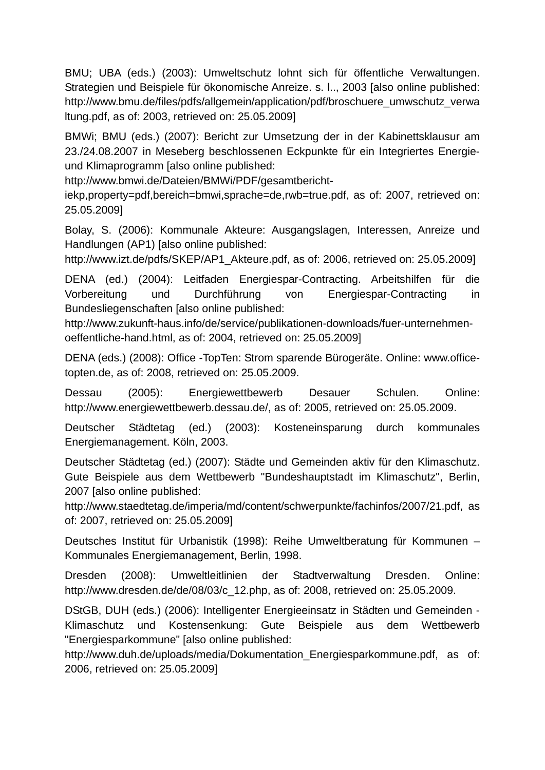BMU; UBA (eds.) (2003): Umweltschutz lohnt sich für öffentliche Verwaltungen. Strategien und Beispiele für ökonomische Anreize. s. l.., 2003 [also online published: http://www.bmu.de/files/pdfs/allgemein/application/pdf/broschuere\_umwschutz\_verwa ltung.pdf, as of: 2003, retrieved on: 25.05.2009]

BMWi; BMU (eds.) (2007): Bericht zur Umsetzung der in der Kabinettsklausur am 23./24.08.2007 in Meseberg beschlossenen Eckpunkte für ein Integriertes Energieund Klimaprogramm [also online published:

http://www.bmwi.de/Dateien/BMWi/PDF/gesamtbericht-

iekp,property=pdf,bereich=bmwi,sprache=de,rwb=true.pdf, as of: 2007, retrieved on: 25.05.2009]

Bolay, S. (2006): Kommunale Akteure: Ausgangslagen, Interessen, Anreize und Handlungen (AP1) [also online published:

http://www.izt.de/pdfs/SKEP/AP1\_Akteure.pdf, as of: 2006, retrieved on: 25.05.2009]

DENA (ed.) (2004): Leitfaden Energiespar-Contracting. Arbeitshilfen für die Vorbereitung und Durchführung von Energiespar-Contracting in Bundesliegenschaften [also online published:

http://www.zukunft-haus.info/de/service/publikationen-downloads/fuer-unternehmenoeffentliche-hand.html, as of: 2004, retrieved on: 25.05.2009]

DENA (eds.) (2008): Office -TopTen: Strom sparende Bürogeräte. Online: www.officetopten.de, as of: 2008, retrieved on: 25.05.2009.

Dessau (2005): Energiewettbewerb Desauer Schulen. Online: http://www.energiewettbewerb.dessau.de/, as of: 2005, retrieved on: 25.05.2009.

Deutscher Städtetag (ed.) (2003): Kosteneinsparung durch kommunales Energiemanagement. Köln, 2003.

Deutscher Städtetag (ed.) (2007): Städte und Gemeinden aktiv für den Klimaschutz. Gute Beispiele aus dem Wettbewerb "Bundeshauptstadt im Klimaschutz", Berlin, 2007 [also online published:

http://www.staedtetag.de/imperia/md/content/schwerpunkte/fachinfos/2007/21.pdf, as of: 2007, retrieved on: 25.05.2009]

Deutsches Institut für Urbanistik (1998): Reihe Umweltberatung für Kommunen – Kommunales Energiemanagement, Berlin, 1998.

Dresden (2008): Umweltleitlinien der Stadtverwaltung Dresden. Online: http://www.dresden.de/de/08/03/c\_12.php, as of: 2008, retrieved on: 25.05.2009.

DStGB, DUH (eds.) (2006): Intelligenter Energieeinsatz in Städten und Gemeinden - Klimaschutz und Kostensenkung: Gute Beispiele aus dem Wettbewerb "Energiesparkommune" [also online published:

http://www.duh.de/uploads/media/Dokumentation\_Energiesparkommune.pdf, as of: 2006, retrieved on: 25.05.2009]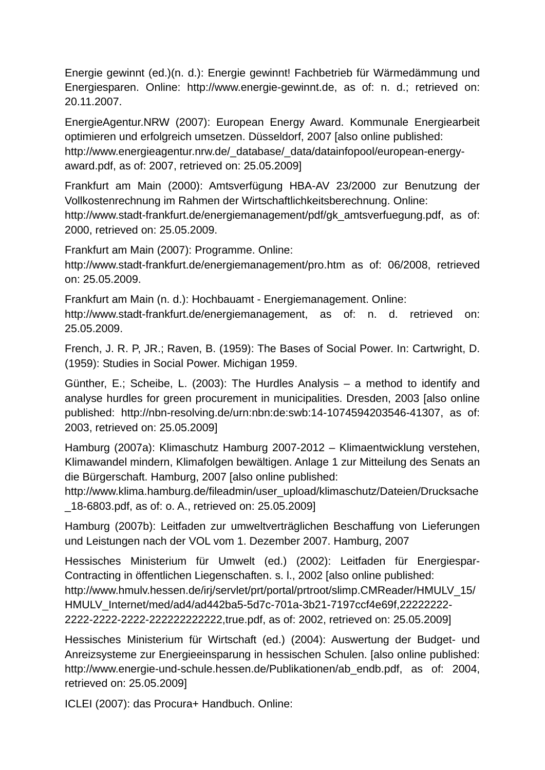Energie gewinnt (ed.)(n. d.): Energie gewinnt! Fachbetrieb für Wärmedämmung und Energiesparen. Online: http://www.energie-gewinnt.de, as of: n. d.; retrieved on: 20.11.2007.

EnergieAgentur.NRW (2007): European Energy Award. Kommunale Energiearbeit optimieren und erfolgreich umsetzen. Düsseldorf, 2007 [also online published: http://www.energieagentur.nrw.de/\_database/\_data/datainfopool/european-energyaward.pdf, as of: 2007, retrieved on: 25.05.2009]

Frankfurt am Main (2000): Amtsverfügung HBA-AV 23/2000 zur Benutzung der Vollkostenrechnung im Rahmen der Wirtschaftlichkeitsberechnung. Online:

http://www.stadt-frankfurt.de/energiemanagement/pdf/gk\_amtsverfuegung.pdf, as of: 2000, retrieved on: 25.05.2009.

Frankfurt am Main (2007): Programme. Online:

http://www.stadt-frankfurt.de/energiemanagement/pro.htm as of: 06/2008, retrieved on: 25.05.2009.

Frankfurt am Main (n. d.): Hochbauamt - Energiemanagement. Online:

http://www.stadt-frankfurt.de/energiemanagement, as of: n. d. retrieved on: 25.05.2009.

French, J. R. P, JR.; Raven, B. (1959): The Bases of Social Power. In: Cartwright, D. (1959): Studies in Social Power. Michigan 1959.

Günther, E.; Scheibe, L. (2003): The Hurdles Analysis – a method to identify and analyse hurdles for green procurement in municipalities. Dresden, 2003 [also online published: http://nbn-resolving.de/urn:nbn:de:swb:14-1074594203546-41307, as of: 2003, retrieved on: 25.05.2009]

Hamburg (2007a): Klimaschutz Hamburg 2007-2012 – Klimaentwicklung verstehen, Klimawandel mindern, Klimafolgen bewältigen. Anlage 1 zur Mitteilung des Senats an die Bürgerschaft. Hamburg, 2007 [also online published:

http://www.klima.hamburg.de/fileadmin/user\_upload/klimaschutz/Dateien/Drucksache \_18-6803.pdf, as of: o. A., retrieved on: 25.05.2009]

Hamburg (2007b): Leitfaden zur umweltverträglichen Beschaffung von Lieferungen und Leistungen nach der VOL vom 1. Dezember 2007. Hamburg, 2007

Hessisches Ministerium für Umwelt (ed.) (2002): Leitfaden für Energiespar-Contracting in öffentlichen Liegenschaften. s. l., 2002 [also online published: http://www.hmulv.hessen.de/irj/servlet/prt/portal/prtroot/slimp.CMReader/HMULV\_15/ HMULV\_Internet/med/ad4/ad442ba5-5d7c-701a-3b21-7197ccf4e69f,22222222- 2222-2222-2222-222222222222,true.pdf, as of: 2002, retrieved on: 25.05.2009]

Hessisches Ministerium für Wirtschaft (ed.) (2004): Auswertung der Budget- und Anreizsysteme zur Energieeinsparung in hessischen Schulen. [also online published: http://www.energie-und-schule.hessen.de/Publikationen/ab\_endb.pdf, as of: 2004, retrieved on: 25.05.2009]

ICLEI (2007): das Procura+ Handbuch. Online: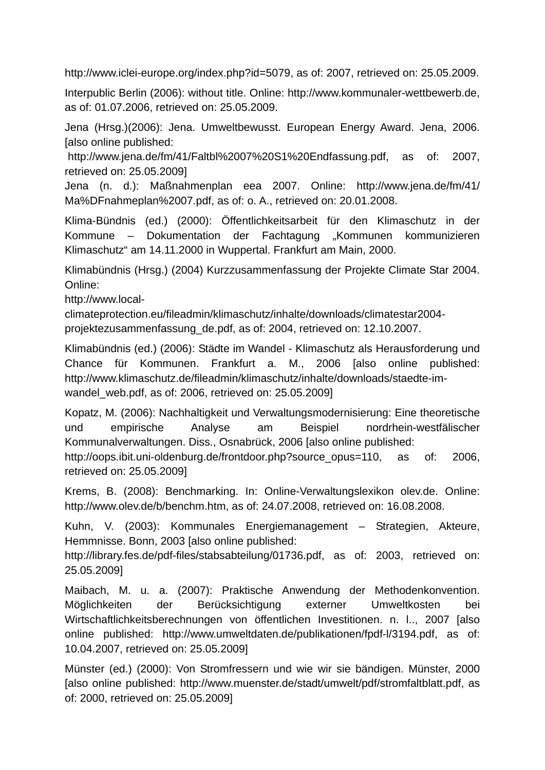http://www.iclei-europe.org/index.php?id=5079, as of: 2007, retrieved on: 25.05.2009.

Interpublic Berlin (2006): without title. Online: http://www.kommunaler-wettbewerb.de, as of: 01.07.2006, retrieved on: 25.05.2009.

Jena (Hrsg.)(2006): Jena. Umweltbewusst. European Energy Award. Jena, 2006. [also online published:

http://www.jena.de/fm/41/Faltbl%2007%20S1%20Endfassung.pdf, as of: 2007, retrieved on: 25.05.2009]

Jena (n. d.): Maßnahmenplan eea 2007. Online: http://www.jena.de/fm/41/ Ma%DFnahmeplan%2007.pdf, as of: o. A., retrieved on: 20.01.2008.

Klima-Bündnis (ed.) (2000): Öffentlichkeitsarbeit für den Klimaschutz in der Kommune – Dokumentation der Fachtagung "Kommunen kommunizieren Klimaschutz" am 14.11.2000 in Wuppertal. Frankfurt am Main, 2000.

Klimabündnis (Hrsg.) (2004) Kurzzusammenfassung der Projekte Climate Star 2004. Online:

http://www.local-

climateprotection.eu/fileadmin/klimaschutz/inhalte/downloads/climatestar2004 projektezusammenfassung\_de.pdf, as of: 2004, retrieved on: 12.10.2007.

Klimabündnis (ed.) (2006): Städte im Wandel - Klimaschutz als Herausforderung und Chance für Kommunen. Frankfurt a. M., 2006 [also online published: http://www.klimaschutz.de/fileadmin/klimaschutz/inhalte/downloads/staedte-imwandel\_web.pdf, as of: 2006, retrieved on: 25.05.2009]

Kopatz, M. (2006): Nachhaltigkeit und Verwaltungsmodernisierung: Eine theoretische und empirische Analyse am Beispiel nordrhein-westfälischer Kommunalverwaltungen. Diss., Osnabrück, 2006 [also online published:

http://oops.ibit.uni-oldenburg.de/frontdoor.php?source\_opus=110, as of: 2006, retrieved on: 25.05.2009]

Krems, B. (2008): Benchmarking. In: Online-Verwaltungslexikon olev.de. Online: http://www.olev.de/b/benchm.htm, as of: 24.07.2008, retrieved on: 16.08.2008.

Kuhn, V. (2003): Kommunales Energiemanagement – Strategien, Akteure, Hemmnisse. Bonn, 2003 [also online published:

http://library.fes.de/pdf-files/stabsabteilung/01736.pdf, as of: 2003, retrieved on: 25.05.2009]

Maibach, M. u. a. (2007): Praktische Anwendung der Methodenkonvention. Möglichkeiten der Berücksichtigung externer Umweltkosten bei Wirtschaftlichkeitsberechnungen von öffentlichen Investitionen. n. l.., 2007 [also online published: http://www.umweltdaten.de/publikationen/fpdf-l/3194.pdf, as of: 10.04.2007, retrieved on: 25.05.2009]

Münster (ed.) (2000): Von Stromfressern und wie wir sie bändigen. Münster, 2000 [also online published: http://www.muenster.de/stadt/umwelt/pdf/stromfaltblatt.pdf, as of: 2000, retrieved on: 25.05.2009]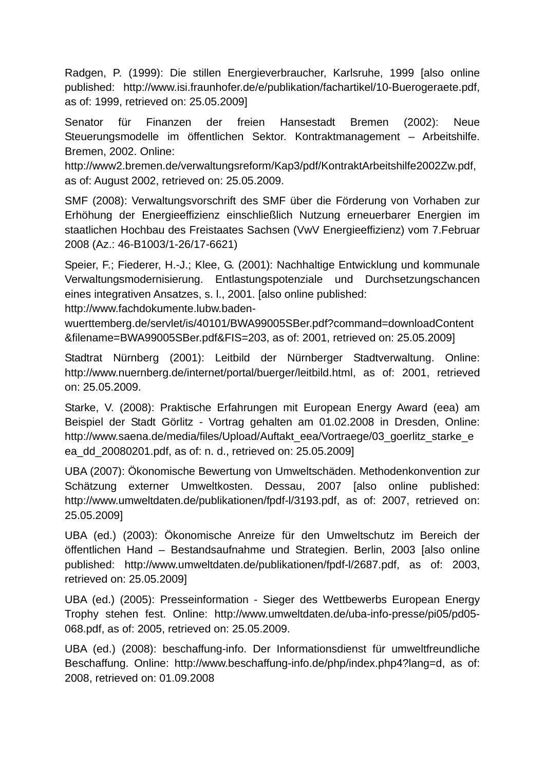Radgen, P. (1999): Die stillen Energieverbraucher, Karlsruhe, 1999 [also online published: http://www.isi.fraunhofer.de/e/publikation/fachartikel/10-Buerogeraete.pdf, as of: 1999, retrieved on: 25.05.2009]

Senator für Finanzen der freien Hansestadt Bremen (2002): Neue Steuerungsmodelle im öffentlichen Sektor. Kontraktmanagement – Arbeitshilfe. Bremen, 2002. Online:

http://www2.bremen.de/verwaltungsreform/Kap3/pdf/KontraktArbeitshilfe2002Zw.pdf, as of: August 2002, retrieved on: 25.05.2009.

SMF (2008): Verwaltungsvorschrift des SMF über die Förderung von Vorhaben zur Erhöhung der Energieeffizienz einschließlich Nutzung erneuerbarer Energien im staatlichen Hochbau des Freistaates Sachsen (VwV Energieeffizienz) vom 7.Februar 2008 (Az.: 46-B1003/1-26/17-6621)

Speier, F.; Fiederer, H.-J.; Klee, G. (2001): Nachhaltige Entwicklung und kommunale Verwaltungsmodernisierung. Entlastungspotenziale und Durchsetzungschancen eines integrativen Ansatzes, s. l., 2001. [also online published:

http://www.fachdokumente.lubw.baden-

wuerttemberg.de/servlet/is/40101/BWA99005SBer.pdf?command=downloadContent &filename=BWA99005SBer.pdf&FIS=203, as of: 2001, retrieved on: 25.05.2009]

Stadtrat Nürnberg (2001): Leitbild der Nürnberger Stadtverwaltung. Online: http://www.nuernberg.de/internet/portal/buerger/leitbild.html, as of: 2001, retrieved on: 25.05.2009.

Starke, V. (2008): Praktische Erfahrungen mit European Energy Award (eea) am Beispiel der Stadt Görlitz - Vortrag gehalten am 01.02.2008 in Dresden, Online: http://www.saena.de/media/files/Upload/Auftakt\_eea/Vortraege/03\_goerlitz\_starke\_e ea\_dd\_20080201.pdf, as of: n. d., retrieved on: 25.05.2009]

UBA (2007): Ökonomische Bewertung von Umweltschäden. Methodenkonvention zur Schätzung externer Umweltkosten. Dessau, 2007 [also online published: http://www.umweltdaten.de/publikationen/fpdf-l/3193.pdf, as of: 2007, retrieved on: 25.05.2009]

UBA (ed.) (2003): Ökonomische Anreize für den Umweltschutz im Bereich der öffentlichen Hand – Bestandsaufnahme und Strategien. Berlin, 2003 [also online published: http://www.umweltdaten.de/publikationen/fpdf-l/2687.pdf, as of: 2003, retrieved on: 25.05.2009]

UBA (ed.) (2005): Presseinformation - Sieger des Wettbewerbs European Energy Trophy stehen fest. Online: http://www.umweltdaten.de/uba-info-presse/pi05/pd05- 068.pdf, as of: 2005, retrieved on: 25.05.2009.

UBA (ed.) (2008): beschaffung-info. Der Informationsdienst für umweltfreundliche Beschaffung. Online: http://www.beschaffung-info.de/php/index.php4?lang=d, as of: 2008, retrieved on: 01.09.2008